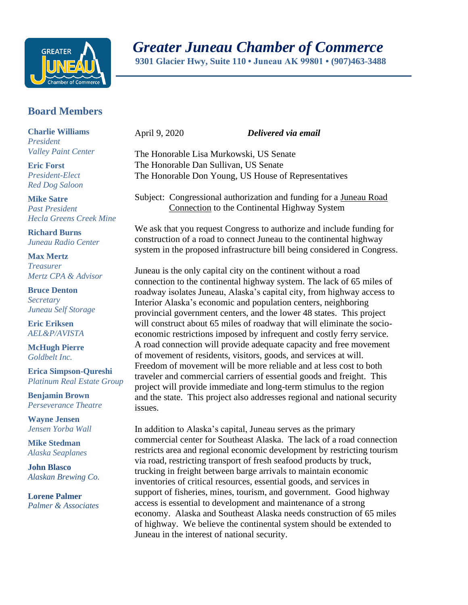

 *Greater Juneau Chamber of Commerce*

 **9301 Glacier Hwy, Suite 110 • Juneau AK 99801 • (907)463-3488** 

## **Board Members**

**Charlie Williams** *President Valley Paint Center*

**Eric Forst** *President-Elect Red Dog Saloon*

**Mike Satre**  *Past President Hecla Greens Creek Mine*

**Richard Burns** *Juneau Radio Center*

**Max Mertz** *Treasurer Mertz CPA & Advisor*

**Bruce Denton** *Secretary Juneau Self Storage*

**Eric Eriksen** *AEL&P/AVISTA*

**McHugh Pierre** *Goldbelt Inc.*

**Erica Simpson-Qureshi** *Platinum Real Estate Group*

**Benjamin Brown** *Perseverance Theatre*

**Wayne Jensen** *Jensen Yorba Wall*

**Mike Stedman** *Alaska Seaplanes*

**John Blasco** *Alaskan Brewing Co.*

**Lorene Palmer** *Palmer & Associates* 

April 9, 2020 *Delivered via email*

The Honorable Lisa Murkowski, US Senate The Honorable Dan Sullivan, US Senate The Honorable Don Young, US House of Representatives

Subject: Congressional authorization and funding for a Juneau Road Connection to the Continental Highway System

We ask that you request Congress to authorize and include funding for construction of a road to connect Juneau to the continental highway system in the proposed infrastructure bill being considered in Congress.

Juneau is the only capital city on the continent without a road connection to the continental highway system. The lack of 65 miles of roadway isolates Juneau, Alaska's capital city, from highway access to Interior Alaska's economic and population centers, neighboring provincial government centers, and the lower 48 states. This project will construct about 65 miles of roadway that will eliminate the socioeconomic restrictions imposed by infrequent and costly ferry service. A road connection will provide adequate capacity and free movement of movement of residents, visitors, goods, and services at will. Freedom of movement will be more reliable and at less cost to both traveler and commercial carriers of essential goods and freight. This project will provide immediate and long-term stimulus to the region and the state. This project also addresses regional and national security issues.

In addition to Alaska's capital, Juneau serves as the primary commercial center for Southeast Alaska. The lack of a road connection restricts area and regional economic development by restricting tourism via road, restricting transport of fresh seafood products by truck, trucking in freight between barge arrivals to maintain economic inventories of critical resources, essential goods, and services in support of fisheries, mines, tourism, and government. Good highway access is essential to development and maintenance of a strong economy. Alaska and Southeast Alaska needs construction of 65 miles of highway. We believe the continental system should be extended to Juneau in the interest of national security.